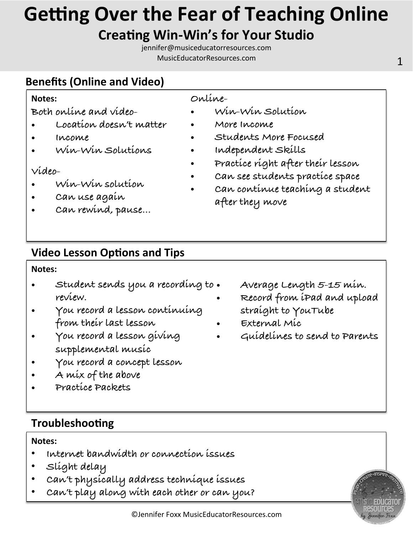# **Getting Over the Fear of Teaching Online**

# **Creating Win-Win's for Your Studio**

jennifer@musiceducatorresources.com MusicEducatorResources.com and the contract of the contract of the contract of the contract of the contract of the contract of the contract of the contract of the contract of the contract of the contract of the contract of

## **Benefits (Online and Video)**

#### **Notes:**

**Both online and video-** 

- **Location doesn't matter**
- **Income**
- **Win-Win Solutions**

#### **Video-**

- **Win-Win solution**
- **Can use again**
- **Can rewind, pause…**

### **Online-**

- **Win-Win Solution**
- **More Income**
- **Students More Focused**
- **Independent Skills**
- **Practice right after their lesson**
- **Can see students practice space**
- **Can continue teaching a student after they move**

## **Video Lesson Options and Tips**

#### **Notes:**

- **Student sends you a recording to review.**
- **You record a lesson continuing from their last lesson**
- **You record a lesson giving supplemental music**
- **You record a concept lesson**
- **A mix of the above**
- **Practice Packets**
- **Troubleshooting**

#### **Notes:**

- **Internet bandwidth or connection issues**
- **Slight delay**
- **Can't physically address technique issues**
- **Can't play along with each other or can you?**
- **Average Length 5-15 min.**
- **Record from iPad and upload straight to YouTube**
- **External Mic**
- **Guidelines to send to Parents**

#### ©Jennifer Foxx MusicEducatorResources.com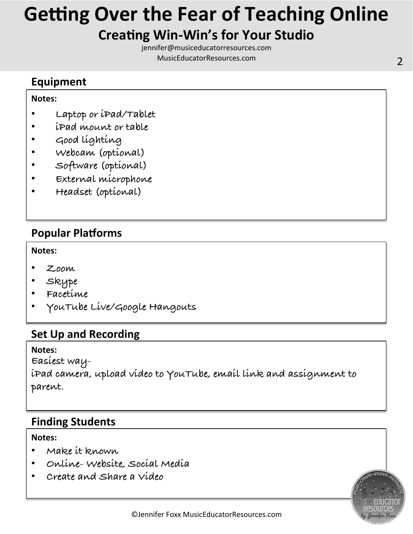# **Getting Over the Fear of Teaching Online**

## **Creating Win-Win's for Your Studio**

jennifer@musiceducatorresources.com MusicEducatorResources.com 2 

## **Equipment**

#### **Notes:**

- **Laptop or iPad/Tablet**
- **iPad mount or table**
- **Good lighting**
- **Webcam (optional)**
- **Software (optional)**
- **External microphone**
- **Headset (optional)**

## **Popular Platforms**

#### **Notes:**

- **Zoom**
- **Skype**
- **Facetime**
- **YouTube Live/Google Hangouts**

### **Set Up and Recording**

#### **Notes:**

**Easiest wayiPad camera, upload video to YouTube, email link and assignment to parent.** 

## **Finding Students**

#### **Notes:**

- **Make it known**
- **Online- Website, Social Media**
- **Create and Share a Video**